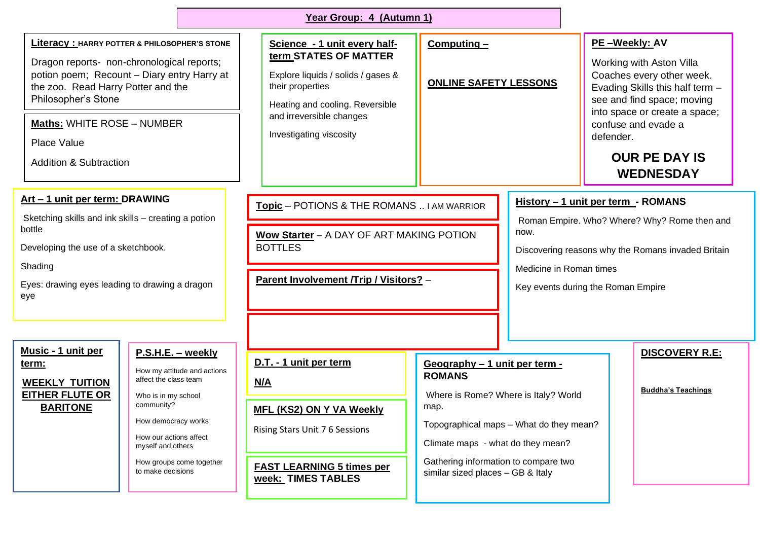| Year Group: 4 (Autumn 1)                                                                                                                                                                                                                                                                                          |                                                                                                                                                                                                                                       |                                                                                                                                                                                                           |                                                                                                                                                                                                                                                             |                                                                                                                                                                                                                   |                                                                                                                                                                                                                                                          |                                                    |
|-------------------------------------------------------------------------------------------------------------------------------------------------------------------------------------------------------------------------------------------------------------------------------------------------------------------|---------------------------------------------------------------------------------------------------------------------------------------------------------------------------------------------------------------------------------------|-----------------------------------------------------------------------------------------------------------------------------------------------------------------------------------------------------------|-------------------------------------------------------------------------------------------------------------------------------------------------------------------------------------------------------------------------------------------------------------|-------------------------------------------------------------------------------------------------------------------------------------------------------------------------------------------------------------------|----------------------------------------------------------------------------------------------------------------------------------------------------------------------------------------------------------------------------------------------------------|----------------------------------------------------|
| <b>Literacy: HARRY POTTER &amp; PHILOSOPHER'S STONE</b><br>Dragon reports- non-chronological reports;<br>potion poem; Recount - Diary entry Harry at<br>the zoo. Read Harry Potter and the<br>Philosopher's Stone<br><b>Maths: WHITE ROSE - NUMBER</b><br><b>Place Value</b><br><b>Addition &amp; Subtraction</b> |                                                                                                                                                                                                                                       | Science - 1 unit every half-<br>term_STATES OF MATTER<br>Explore liquids / solids / gases &<br>their properties<br>Heating and cooling. Reversible<br>and irreversible changes<br>Investigating viscosity | $Computing -$<br><b>ONLINE SAFETY LESSONS</b>                                                                                                                                                                                                               |                                                                                                                                                                                                                   | PE-Weekly: AV<br>Working with Aston Villa<br>Coaches every other week.<br>Evading Skills this half term -<br>see and find space; moving<br>into space or create a space;<br>confuse and evade a<br>defender.<br><b>OUR PE DAY IS</b><br><b>WEDNESDAY</b> |                                                    |
| Art - 1 unit per term: DRAWING<br>Sketching skills and ink skills - creating a potion<br>bottle<br>Developing the use of a sketchbook.<br>Shading<br>Eyes: drawing eyes leading to drawing a dragon<br>eye                                                                                                        |                                                                                                                                                                                                                                       | Topic - POTIONS & THE ROMANS  I AM WARRIOR<br>Wow Starter - A DAY OF ART MAKING POTION<br><b>BOTTLES</b><br>Parent Involvement /Trip / Visitors? -                                                        |                                                                                                                                                                                                                                                             | History - 1 unit per term - ROMANS<br>Roman Empire. Who? Where? Why? Rome then and<br>now.<br>Discovering reasons why the Romans invaded Britain<br>Medicine in Roman times<br>Key events during the Roman Empire |                                                                                                                                                                                                                                                          |                                                    |
| <u>Music - 1 unit per</u><br>term:<br><b>WEEKLY TUITION</b><br><b>EITHER FLUTE OR</b><br><b>BARITONE</b>                                                                                                                                                                                                          | P.S.H.E. - weekly<br>How my attitude and actions<br>affect the class team<br>Who is in my school<br>community?<br>How democracy works<br>How our actions affect<br>myself and others<br>How groups come together<br>to make decisions | D.T. - 1 unit per term<br><u>N/A</u><br><b>MFL (KS2) ON Y VA Weekly</b><br>Rising Stars Unit 7 6 Sessions<br><b>FAST LEARNING 5 times per</b><br><b>week: TIMES TABLES</b>                                | Geography - 1 unit per term -<br><b>ROMANS</b><br>Where is Rome? Where is Italy? World<br>map.<br>Topographical maps - What do they mean?<br>Climate maps - what do they mean?<br>Gathering information to compare two<br>similar sized places - GB & Italy |                                                                                                                                                                                                                   |                                                                                                                                                                                                                                                          | <b>DISCOVERY R.E:</b><br><b>Buddha's Teachings</b> |